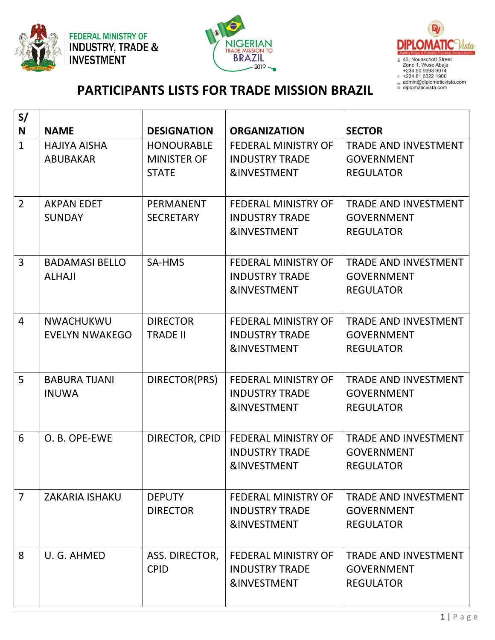





## **PARTICIPANTS LISTS FOR TRADE MISSION BRAZIL**

| S/             |                       |                    |                                                 |                             |
|----------------|-----------------------|--------------------|-------------------------------------------------|-----------------------------|
| N              | <b>NAME</b>           | <b>DESIGNATION</b> | <b>ORGANIZATION</b>                             | <b>SECTOR</b>               |
| $\mathbf{1}$   | <b>HAJIYA AISHA</b>   | <b>HONOURABLE</b>  | <b>FEDERAL MINISTRY OF</b>                      | <b>TRADE AND INVESTMENT</b> |
|                | <b>ABUBAKAR</b>       | <b>MINISTER OF</b> | <b>INDUSTRY TRADE</b>                           | <b>GOVERNMENT</b>           |
|                |                       | <b>STATE</b>       | <b>&amp;INVESTMENT</b>                          | <b>REGULATOR</b>            |
|                |                       |                    |                                                 |                             |
| $\overline{2}$ | <b>AKPAN EDET</b>     | <b>PERMANENT</b>   | <b>FEDERAL MINISTRY OF</b>                      | <b>TRADE AND INVESTMENT</b> |
|                | <b>SUNDAY</b>         | <b>SECRETARY</b>   | <b>INDUSTRY TRADE</b>                           | <b>GOVERNMENT</b>           |
|                |                       |                    | <b>&amp;INVESTMENT</b>                          | <b>REGULATOR</b>            |
| 3              | <b>BADAMASI BELLO</b> | SA-HMS             | <b>FEDERAL MINISTRY OF</b>                      | <b>TRADE AND INVESTMENT</b> |
|                | <b>ALHAJI</b>         |                    | <b>INDUSTRY TRADE</b>                           | <b>GOVERNMENT</b>           |
|                |                       |                    | <b>&amp;INVESTMENT</b>                          | <b>REGULATOR</b>            |
|                |                       |                    |                                                 |                             |
| $\overline{4}$ | NWACHUKWU             | <b>DIRECTOR</b>    | <b>FEDERAL MINISTRY OF</b>                      | <b>TRADE AND INVESTMENT</b> |
|                | <b>EVELYN NWAKEGO</b> | <b>TRADE II</b>    | <b>INDUSTRY TRADE</b>                           | <b>GOVERNMENT</b>           |
|                |                       |                    | <b>&amp;INVESTMENT</b>                          | <b>REGULATOR</b>            |
|                |                       |                    |                                                 |                             |
| 5              | <b>BABURA TIJANI</b>  | DIRECTOR(PRS)      | <b>FEDERAL MINISTRY OF</b>                      | <b>TRADE AND INVESTMENT</b> |
|                | <b>INUWA</b>          |                    | <b>INDUSTRY TRADE</b>                           | <b>GOVERNMENT</b>           |
|                |                       |                    | <b>&amp;INVESTMENT</b>                          | <b>REGULATOR</b>            |
|                |                       |                    |                                                 |                             |
| 6              | O. B. OPE-EWE         | DIRECTOR, CPID     | <b>FEDERAL MINISTRY OF</b>                      | <b>TRADE AND INVESTMENT</b> |
|                |                       |                    | <b>INDUSTRY TRADE</b><br><b>&amp;INVESTMENT</b> | <b>GOVERNMENT</b>           |
|                |                       |                    |                                                 | <b>REGULATOR</b>            |
| $\overline{7}$ | <b>ZAKARIA ISHAKU</b> | <b>DEPUTY</b>      | <b>FEDERAL MINISTRY OF</b>                      | <b>TRADE AND INVESTMENT</b> |
|                |                       | <b>DIRECTOR</b>    | <b>INDUSTRY TRADE</b>                           | <b>GOVERNMENT</b>           |
|                |                       |                    | <b>&amp;INVESTMENT</b>                          | <b>REGULATOR</b>            |
|                |                       |                    |                                                 |                             |
| 8              | U. G. AHMED           | ASS. DIRECTOR,     | FEDERAL MINISTRY OF                             | <b>TRADE AND INVESTMENT</b> |
|                |                       | <b>CPID</b>        | <b>INDUSTRY TRADE</b>                           | <b>GOVERNMENT</b>           |
|                |                       |                    | <b>&amp;INVESTMENT</b>                          | <b>REGULATOR</b>            |
|                |                       |                    |                                                 |                             |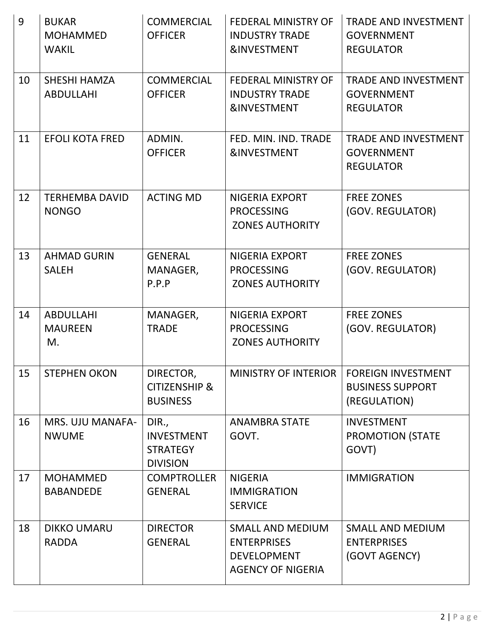| 9  | <b>BUKAR</b><br><b>MOHAMMED</b><br><b>WAKIL</b> | <b>COMMERCIAL</b><br><b>OFFICER</b>                              | FEDERAL MINISTRY OF<br><b>INDUSTRY TRADE</b><br><b>&amp;INVESTMENT</b>                          | TRADE AND INVESTMENT<br><b>GOVERNMENT</b><br><b>REGULATOR</b>        |
|----|-------------------------------------------------|------------------------------------------------------------------|-------------------------------------------------------------------------------------------------|----------------------------------------------------------------------|
| 10 | <b>SHESHI HAMZA</b><br><b>ABDULLAHI</b>         | <b>COMMERCIAL</b><br><b>OFFICER</b>                              | FEDERAL MINISTRY OF<br><b>INDUSTRY TRADE</b><br><b>&amp;INVESTMENT</b>                          | <b>TRADE AND INVESTMENT</b><br><b>GOVERNMENT</b><br><b>REGULATOR</b> |
| 11 | <b>EFOLI KOTA FRED</b>                          | ADMIN.<br><b>OFFICER</b>                                         | FED. MIN. IND. TRADE<br><b>&amp;INVESTMENT</b>                                                  | <b>TRADE AND INVESTMENT</b><br><b>GOVERNMENT</b><br><b>REGULATOR</b> |
| 12 | <b>TERHEMBA DAVID</b><br><b>NONGO</b>           | <b>ACTING MD</b>                                                 | <b>NIGERIA EXPORT</b><br><b>PROCESSING</b><br><b>ZONES AUTHORITY</b>                            | <b>FREE ZONES</b><br>(GOV. REGULATOR)                                |
| 13 | <b>AHMAD GURIN</b><br><b>SALEH</b>              | <b>GENERAL</b><br>MANAGER,<br>P.P.P                              | NIGERIA EXPORT<br><b>PROCESSING</b><br><b>ZONES AUTHORITY</b>                                   | <b>FREE ZONES</b><br>(GOV. REGULATOR)                                |
| 14 | <b>ABDULLAHI</b><br><b>MAUREEN</b><br>M.        | MANAGER,<br><b>TRADE</b>                                         | <b>NIGERIA EXPORT</b><br><b>PROCESSING</b><br><b>ZONES AUTHORITY</b>                            | <b>FREE ZONES</b><br>(GOV. REGULATOR)                                |
| 15 | <b>STEPHEN OKON</b>                             | DIRECTOR,<br><b>CITIZENSHIP &amp;</b><br><b>BUSINESS</b>         | MINISTRY OF INTERIOR                                                                            | <b>FOREIGN INVESTMENT</b><br><b>BUSINESS SUPPORT</b><br>(REGULATION) |
| 16 | <b>MRS. UJU MANAFA-</b><br><b>NWUME</b>         | DIR.,<br><b>INVESTMENT</b><br><b>STRATEGY</b><br><b>DIVISION</b> | <b>ANAMBRA STATE</b><br>GOVT.                                                                   | <b>INVESTMENT</b><br><b>PROMOTION (STATE</b><br>GOVT)                |
| 17 | <b>MOHAMMED</b><br><b>BABANDEDE</b>             | <b>COMPTROLLER</b><br><b>GENERAL</b>                             | <b>NIGERIA</b><br><b>IMMIGRATION</b><br><b>SERVICE</b>                                          | <b>IMMIGRATION</b>                                                   |
| 18 | <b>DIKKO UMARU</b><br><b>RADDA</b>              | <b>DIRECTOR</b><br><b>GENERAL</b>                                | <b>SMALL AND MEDIUM</b><br><b>ENTERPRISES</b><br><b>DEVELOPMENT</b><br><b>AGENCY OF NIGERIA</b> | <b>SMALL AND MEDIUM</b><br><b>ENTERPRISES</b><br>(GOVT AGENCY)       |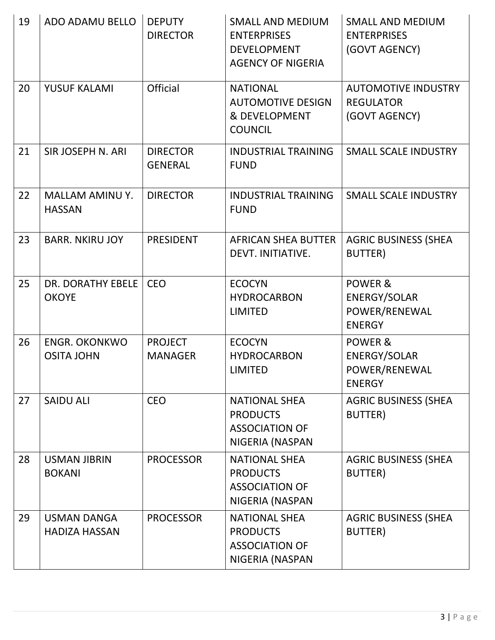| 19 | ADO ADAMU BELLO                           | <b>DEPUTY</b><br><b>DIRECTOR</b>  | <b>SMALL AND MEDIUM</b><br><b>ENTERPRISES</b><br><b>DEVELOPMENT</b><br><b>AGENCY OF NIGERIA</b> | <b>SMALL AND MEDIUM</b><br><b>ENTERPRISES</b><br>(GOVT AGENCY)   |
|----|-------------------------------------------|-----------------------------------|-------------------------------------------------------------------------------------------------|------------------------------------------------------------------|
| 20 | YUSUF KALAMI                              | <b>Official</b>                   | <b>NATIONAL</b><br><b>AUTOMOTIVE DESIGN</b><br>& DEVELOPMENT<br><b>COUNCIL</b>                  | <b>AUTOMOTIVE INDUSTRY</b><br><b>REGULATOR</b><br>(GOVT AGENCY)  |
| 21 | SIR JOSEPH N. ARI                         | <b>DIRECTOR</b><br><b>GENERAL</b> | <b>INDUSTRIAL TRAINING</b><br><b>FUND</b>                                                       | <b>SMALL SCALE INDUSTRY</b>                                      |
| 22 | <b>MALLAM AMINU Y.</b><br><b>HASSAN</b>   | <b>DIRECTOR</b>                   | <b>INDUSTRIAL TRAINING</b><br><b>FUND</b>                                                       | <b>SMALL SCALE INDUSTRY</b>                                      |
| 23 | <b>BARR. NKIRU JOY</b>                    | <b>PRESIDENT</b>                  | <b>AFRICAN SHEA BUTTER</b><br>DEVT. INITIATIVE.                                                 | <b>AGRIC BUSINESS (SHEA</b><br><b>BUTTER</b> )                   |
| 25 | DR. DORATHY EBELE<br><b>OKOYE</b>         | <b>CEO</b>                        | <b>ECOCYN</b><br><b>HYDROCARBON</b><br><b>LIMITED</b>                                           | POWER &<br><b>ENERGY/SOLAR</b><br>POWER/RENEWAL<br><b>ENERGY</b> |
| 26 | <b>ENGR. OKONKWO</b><br><b>OSITA JOHN</b> | <b>PROJECT</b><br><b>MANAGER</b>  | <b>ECOCYN</b><br><b>HYDROCARBON</b><br><b>LIMITED</b>                                           | POWER &<br><b>ENERGY/SOLAR</b><br>POWER/RENEWAL<br><b>ENERGY</b> |
| 27 | <b>SAIDU ALI</b>                          | <b>CEO</b>                        | <b>NATIONAL SHEA</b><br><b>PRODUCTS</b><br><b>ASSOCIATION OF</b><br>NIGERIA (NASPAN             | <b>AGRIC BUSINESS (SHEA</b><br>BUTTER)                           |
| 28 | <b>USMAN JIBRIN</b><br><b>BOKANI</b>      | <b>PROCESSOR</b>                  | <b>NATIONAL SHEA</b><br><b>PRODUCTS</b><br><b>ASSOCIATION OF</b><br>NIGERIA (NASPAN             | <b>AGRIC BUSINESS (SHEA</b><br><b>BUTTER</b> )                   |
| 29 | USMAN DANGA<br><b>HADIZA HASSAN</b>       | <b>PROCESSOR</b>                  | <b>NATIONAL SHEA</b><br><b>PRODUCTS</b><br><b>ASSOCIATION OF</b><br>NIGERIA (NASPAN             | <b>AGRIC BUSINESS (SHEA</b><br><b>BUTTER</b> )                   |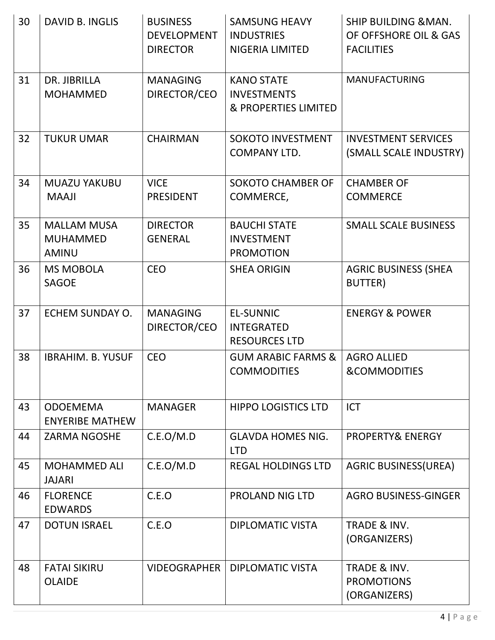| 30 | <b>DAVID B. INGLIS</b>                                | <b>BUSINESS</b><br><b>DEVELOPMENT</b><br><b>DIRECTOR</b> | <b>SAMSUNG HEAVY</b><br><b>INDUSTRIES</b><br><b>NIGERIA LIMITED</b>        | <b>SHIP BUILDING &amp; MAN.</b><br>OF OFFSHORE OIL & GAS<br><b>FACILITIES</b> |
|----|-------------------------------------------------------|----------------------------------------------------------|----------------------------------------------------------------------------|-------------------------------------------------------------------------------|
| 31 | DR. JIBRILLA<br><b>MOHAMMED</b>                       | <b>MANAGING</b><br>DIRECTOR/CEO                          | <b>KANO STATE</b><br><b>INVESTMENTS</b><br><b>&amp; PROPERTIES LIMITED</b> | <b>MANUFACTURING</b>                                                          |
| 32 | <b>TUKUR UMAR</b>                                     | <b>CHAIRMAN</b>                                          | <b>SOKOTO INVESTMENT</b><br><b>COMPANY LTD.</b>                            | <b>INVESTMENT SERVICES</b><br>(SMALL SCALE INDUSTRY)                          |
| 34 | <b>MUAZU YAKUBU</b><br><b>MAAJI</b>                   | <b>VICE</b><br><b>PRESIDENT</b>                          | <b>SOKOTO CHAMBER OF</b><br>COMMERCE,                                      | <b>CHAMBER OF</b><br><b>COMMERCE</b>                                          |
| 35 | <b>MALLAM MUSA</b><br><b>MUHAMMED</b><br><b>AMINU</b> | <b>DIRECTOR</b><br><b>GENERAL</b>                        | <b>BAUCHI STATE</b><br><b>INVESTMENT</b><br><b>PROMOTION</b>               | <b>SMALL SCALE BUSINESS</b>                                                   |
| 36 | <b>MS MOBOLA</b><br><b>SAGOE</b>                      | <b>CEO</b>                                               | <b>SHEA ORIGIN</b>                                                         | <b>AGRIC BUSINESS (SHEA</b><br><b>BUTTER</b> )                                |
| 37 | ECHEM SUNDAY O.                                       | <b>MANAGING</b><br>DIRECTOR/CEO                          | <b>EL-SUNNIC</b><br><b>INTEGRATED</b><br><b>RESOURCES LTD</b>              | <b>ENERGY &amp; POWER</b>                                                     |
| 38 | <b>IBRAHIM. B. YUSUF</b>                              | <b>CEO</b>                                               | <b>GUM ARABIC FARMS &amp;</b><br><b>COMMODITIES</b>                        | <b>AGRO ALLIED</b><br>&COMMODITIES                                            |
| 43 | <b>ODOEMEMA</b><br><b>ENYERIBE MATHEW</b>             | <b>MANAGER</b>                                           | <b>HIPPO LOGISTICS LTD</b>                                                 | <b>ICT</b>                                                                    |
| 44 | <b>ZARMA NGOSHE</b>                                   | C.E.O/M.D                                                | <b>GLAVDA HOMES NIG.</b><br><b>LTD</b>                                     | PROPERTY& ENERGY                                                              |
| 45 | <b>MOHAMMED ALI</b><br><b>JAJARI</b>                  | C.E.O/M.D                                                | <b>REGAL HOLDINGS LTD</b>                                                  | <b>AGRIC BUSINESS(UREA)</b>                                                   |
| 46 | <b>FLORENCE</b><br><b>EDWARDS</b>                     | C.E.O                                                    | <b>PROLAND NIG LTD</b>                                                     | <b>AGRO BUSINESS-GINGER</b>                                                   |
| 47 | <b>DOTUN ISRAEL</b>                                   | C.E.O                                                    | DIPLOMATIC VISTA                                                           | <b>TRADE &amp; INV.</b><br>(ORGANIZERS)                                       |
| 48 | <b>FATAI SIKIRU</b><br><b>OLAIDE</b>                  | <b>VIDEOGRAPHER</b>                                      | <b>DIPLOMATIC VISTA</b>                                                    | TRADE & INV.<br><b>PROMOTIONS</b><br>(ORGANIZERS)                             |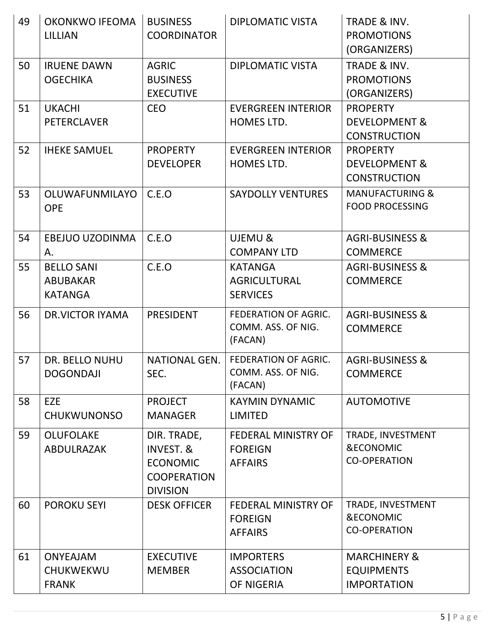| 49 | <b>OKONKWO IFEOMA</b><br>LILLIAN                       | <b>BUSINESS</b><br><b>COORDINATOR</b>                                                           | <b>DIPLOMATIC VISTA</b>                                        | TRADE & INV.<br><b>PROMOTIONS</b><br>(ORGANIZERS)                  |
|----|--------------------------------------------------------|-------------------------------------------------------------------------------------------------|----------------------------------------------------------------|--------------------------------------------------------------------|
| 50 | <b>IRUENE DAWN</b><br><b>OGECHIKA</b>                  | <b>AGRIC</b><br><b>BUSINESS</b><br><b>EXECUTIVE</b>                                             | <b>DIPLOMATIC VISTA</b>                                        | <b>TRADE &amp; INV.</b><br><b>PROMOTIONS</b><br>(ORGANIZERS)       |
| 51 | <b>UKACHI</b><br><b>PETERCLAVER</b>                    | <b>CEO</b>                                                                                      | <b>EVERGREEN INTERIOR</b><br>HOMES LTD.                        | <b>PROPERTY</b><br>DEVELOPMENT &<br><b>CONSTRUCTION</b>            |
| 52 | <b>IHEKE SAMUEL</b>                                    | <b>PROPERTY</b><br><b>DEVELOPER</b>                                                             | <b>EVERGREEN INTERIOR</b><br>HOMES LTD.                        | <b>PROPERTY</b><br>DEVELOPMENT &<br><b>CONSTRUCTION</b>            |
| 53 | OLUWAFUNMILAYO<br><b>OPE</b>                           | C.E.O                                                                                           | <b>SAYDOLLY VENTURES</b>                                       | <b>MANUFACTURING &amp;</b><br><b>FOOD PROCESSING</b>               |
| 54 | EBEJUO UZODINMA<br>Α.                                  | C.E.O                                                                                           | UJEMU &<br><b>COMPANY LTD</b>                                  | <b>AGRI-BUSINESS &amp;</b><br><b>COMMERCE</b>                      |
| 55 | <b>BELLO SANI</b><br><b>ABUBAKAR</b><br><b>KATANGA</b> | C.E.O                                                                                           | <b>KATANGA</b><br><b>AGRICULTURAL</b><br><b>SERVICES</b>       | <b>AGRI-BUSINESS &amp;</b><br><b>COMMERCE</b>                      |
| 56 | <b>DR.VICTOR IYAMA</b>                                 | <b>PRESIDENT</b>                                                                                | <b>FEDERATION OF AGRIC.</b><br>COMM. ASS. OF NIG.<br>(FACAN)   | <b>AGRI-BUSINESS &amp;</b><br><b>COMMERCE</b>                      |
| 57 | <b>DR. BELLO NUHU</b><br><b>DOGONDAJI</b>              | <b>NATIONAL GEN.</b><br>SEC.                                                                    | <b>FEDERATION OF AGRIC.</b><br>COMM. ASS. OF NIG.<br>(FACAN)   | <b>AGRI-BUSINESS &amp;</b><br><b>COMMERCE</b>                      |
| 58 | <b>EZE</b><br><b>CHUKWUNONSO</b>                       | <b>PROJECT</b><br><b>MANAGER</b>                                                                | <b>KAYMIN DYNAMIC</b><br><b>LIMITED</b>                        | <b>AUTOMOTIVE</b>                                                  |
| 59 | <b>OLUFOLAKE</b><br>ABDULRAZAK                         | DIR. TRADE,<br><b>INVEST. &amp;</b><br><b>ECONOMIC</b><br><b>COOPERATION</b><br><b>DIVISION</b> | <b>FEDERAL MINISTRY OF</b><br><b>FOREIGN</b><br><b>AFFAIRS</b> | TRADE, INVESTMENT<br><b>&amp;ECONOMIC</b><br><b>CO-OPERATION</b>   |
| 60 | <b>POROKU SEYI</b>                                     | <b>DESK OFFICER</b>                                                                             | <b>FEDERAL MINISTRY OF</b><br><b>FOREIGN</b><br><b>AFFAIRS</b> | TRADE, INVESTMENT<br><b>&amp;ECONOMIC</b><br><b>CO-OPERATION</b>   |
| 61 | <b>ONYEAJAM</b><br>CHUKWEKWU<br><b>FRANK</b>           | <b>EXECUTIVE</b><br><b>MEMBER</b>                                                               | <b>IMPORTERS</b><br><b>ASSOCIATION</b><br>OF NIGERIA           | <b>MARCHINERY &amp;</b><br><b>EQUIPMENTS</b><br><b>IMPORTATION</b> |